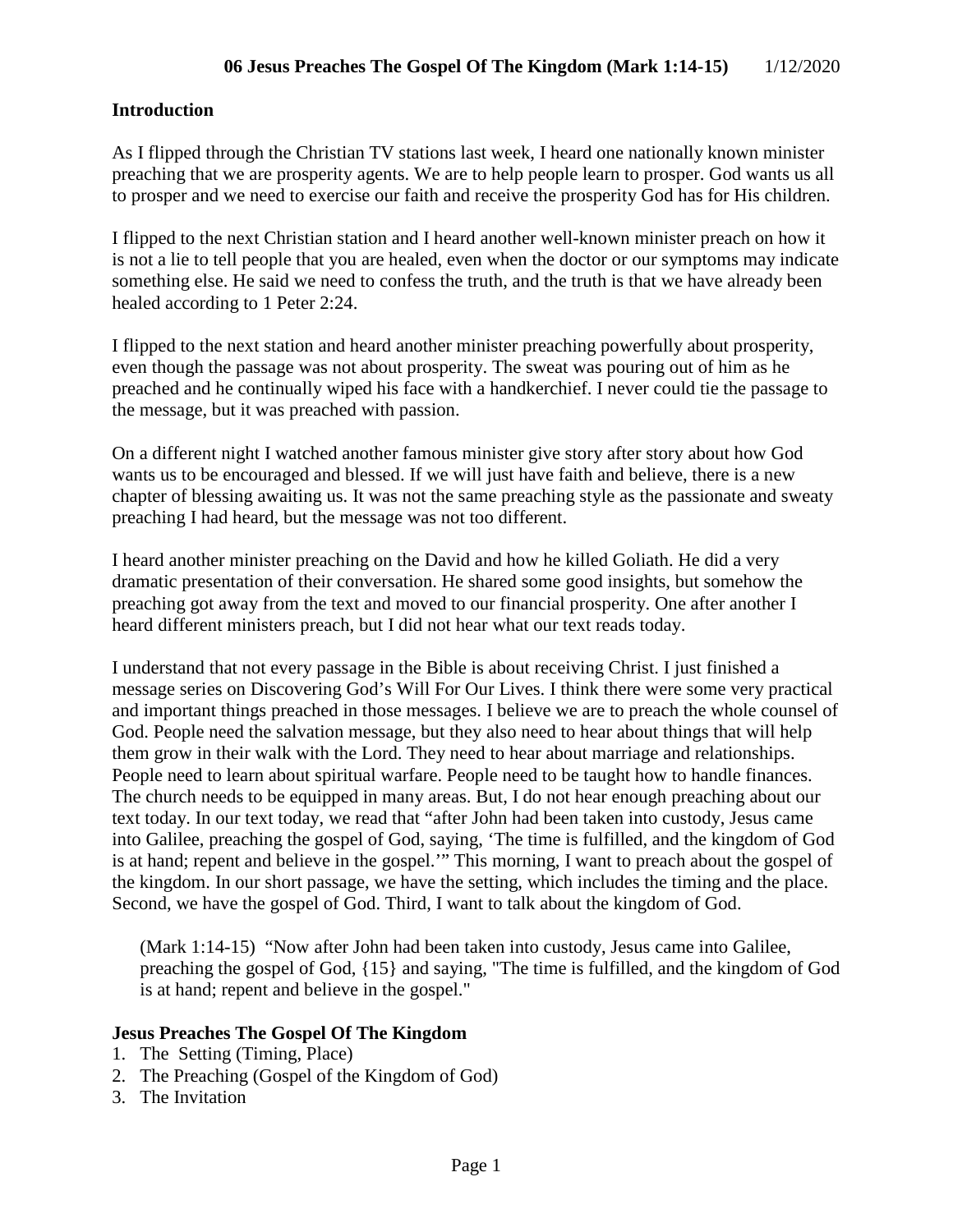#### **Introduction**

As I flipped through the Christian TV stations last week, I heard one nationally known minister preaching that we are prosperity agents. We are to help people learn to prosper. God wants us all to prosper and we need to exercise our faith and receive the prosperity God has for His children.

I flipped to the next Christian station and I heard another well-known minister preach on how it is not a lie to tell people that you are healed, even when the doctor or our symptoms may indicate something else. He said we need to confess the truth, and the truth is that we have already been healed according to 1 Peter 2:24.

I flipped to the next station and heard another minister preaching powerfully about prosperity, even though the passage was not about prosperity. The sweat was pouring out of him as he preached and he continually wiped his face with a handkerchief. I never could tie the passage to the message, but it was preached with passion.

On a different night I watched another famous minister give story after story about how God wants us to be encouraged and blessed. If we will just have faith and believe, there is a new chapter of blessing awaiting us. It was not the same preaching style as the passionate and sweaty preaching I had heard, but the message was not too different.

I heard another minister preaching on the David and how he killed Goliath. He did a very dramatic presentation of their conversation. He shared some good insights, but somehow the preaching got away from the text and moved to our financial prosperity. One after another I heard different ministers preach, but I did not hear what our text reads today.

I understand that not every passage in the Bible is about receiving Christ. I just finished a message series on Discovering God's Will For Our Lives. I think there were some very practical and important things preached in those messages. I believe we are to preach the whole counsel of God. People need the salvation message, but they also need to hear about things that will help them grow in their walk with the Lord. They need to hear about marriage and relationships. People need to learn about spiritual warfare. People need to be taught how to handle finances. The church needs to be equipped in many areas. But, I do not hear enough preaching about our text today. In our text today, we read that "after John had been taken into custody, Jesus came into Galilee, preaching the gospel of God, saying, 'The time is fulfilled, and the kingdom of God is at hand; repent and believe in the gospel.'" This morning, I want to preach about the gospel of the kingdom. In our short passage, we have the setting, which includes the timing and the place. Second, we have the gospel of God. Third, I want to talk about the kingdom of God.

(Mark 1:14-15) "Now after John had been taken into custody, Jesus came into Galilee, preaching the gospel of God, {15} and saying, "The time is fulfilled, and the kingdom of God is at hand; repent and believe in the gospel."

#### **Jesus Preaches The Gospel Of The Kingdom**

- 1. The Setting (Timing, Place)
- 2. The Preaching (Gospel of the Kingdom of God)
- 3. The Invitation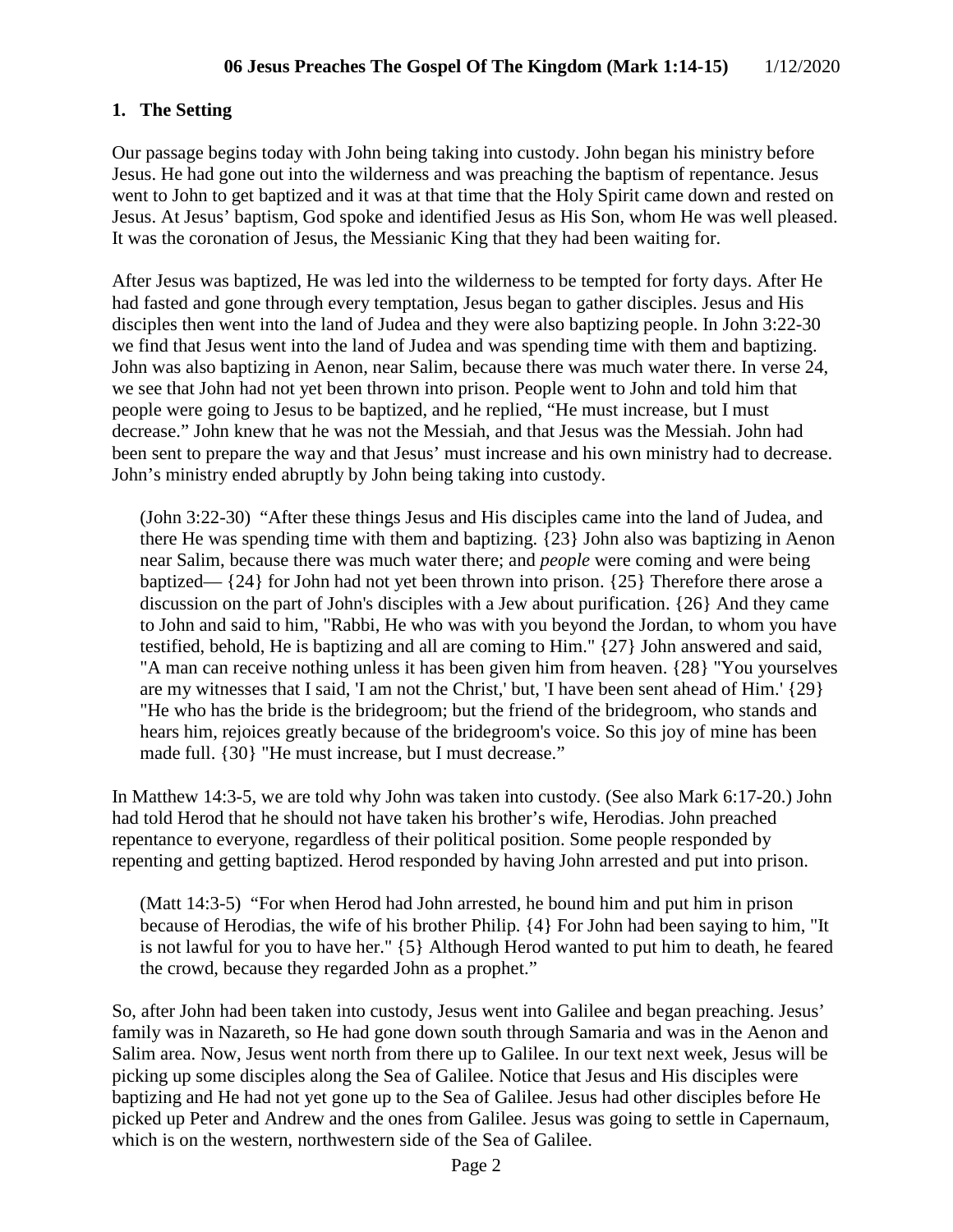# **1. The Setting**

Our passage begins today with John being taking into custody. John began his ministry before Jesus. He had gone out into the wilderness and was preaching the baptism of repentance. Jesus went to John to get baptized and it was at that time that the Holy Spirit came down and rested on Jesus. At Jesus' baptism, God spoke and identified Jesus as His Son, whom He was well pleased. It was the coronation of Jesus, the Messianic King that they had been waiting for.

After Jesus was baptized, He was led into the wilderness to be tempted for forty days. After He had fasted and gone through every temptation, Jesus began to gather disciples. Jesus and His disciples then went into the land of Judea and they were also baptizing people. In John 3:22-30 we find that Jesus went into the land of Judea and was spending time with them and baptizing. John was also baptizing in Aenon, near Salim, because there was much water there. In verse 24, we see that John had not yet been thrown into prison. People went to John and told him that people were going to Jesus to be baptized, and he replied, "He must increase, but I must decrease." John knew that he was not the Messiah, and that Jesus was the Messiah. John had been sent to prepare the way and that Jesus' must increase and his own ministry had to decrease. John's ministry ended abruptly by John being taking into custody.

(John 3:22-30) "After these things Jesus and His disciples came into the land of Judea, and there He was spending time with them and baptizing. {23} John also was baptizing in Aenon near Salim, because there was much water there; and *people* were coming and were being baptized— {24} for John had not yet been thrown into prison. {25} Therefore there arose a discussion on the part of John's disciples with a Jew about purification. {26} And they came to John and said to him, "Rabbi, He who was with you beyond the Jordan, to whom you have testified, behold, He is baptizing and all are coming to Him." {27} John answered and said, "A man can receive nothing unless it has been given him from heaven. {28} "You yourselves are my witnesses that I said, 'I am not the Christ,' but, 'I have been sent ahead of Him.' {29} "He who has the bride is the bridegroom; but the friend of the bridegroom, who stands and hears him, rejoices greatly because of the bridegroom's voice. So this joy of mine has been made full. {30} "He must increase, but I must decrease."

In Matthew 14:3-5, we are told why John was taken into custody. (See also Mark 6:17-20.) John had told Herod that he should not have taken his brother's wife, Herodias. John preached repentance to everyone, regardless of their political position. Some people responded by repenting and getting baptized. Herod responded by having John arrested and put into prison.

(Matt 14:3-5) "For when Herod had John arrested, he bound him and put him in prison because of Herodias, the wife of his brother Philip. {4} For John had been saying to him, "It is not lawful for you to have her." {5} Although Herod wanted to put him to death, he feared the crowd, because they regarded John as a prophet."

So, after John had been taken into custody, Jesus went into Galilee and began preaching. Jesus' family was in Nazareth, so He had gone down south through Samaria and was in the Aenon and Salim area. Now, Jesus went north from there up to Galilee. In our text next week, Jesus will be picking up some disciples along the Sea of Galilee. Notice that Jesus and His disciples were baptizing and He had not yet gone up to the Sea of Galilee. Jesus had other disciples before He picked up Peter and Andrew and the ones from Galilee. Jesus was going to settle in Capernaum, which is on the western, northwestern side of the Sea of Galilee.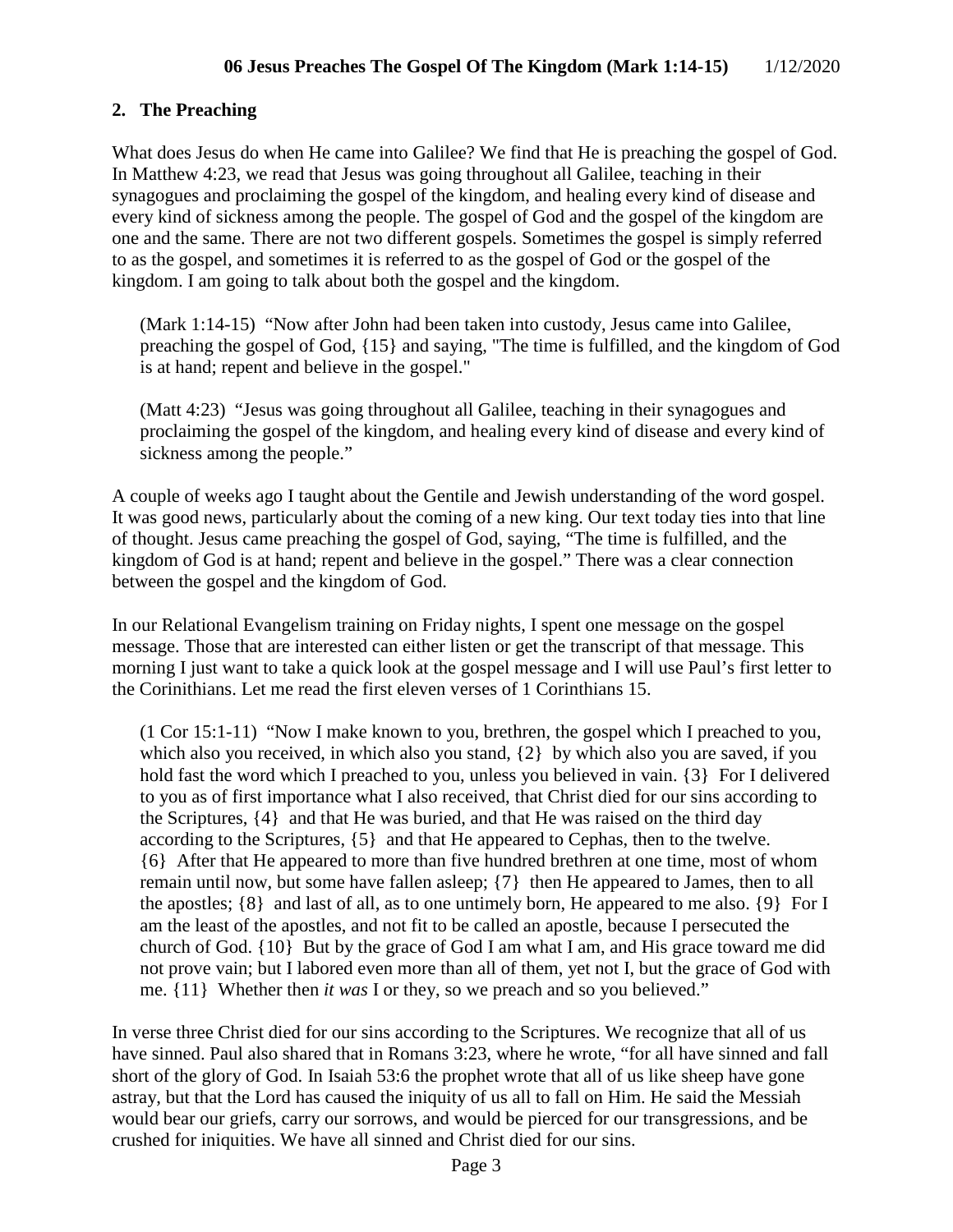# **2. The Preaching**

What does Jesus do when He came into Galilee? We find that He is preaching the gospel of God. In Matthew 4:23, we read that Jesus was going throughout all Galilee, teaching in their synagogues and proclaiming the gospel of the kingdom, and healing every kind of disease and every kind of sickness among the people. The gospel of God and the gospel of the kingdom are one and the same. There are not two different gospels. Sometimes the gospel is simply referred to as the gospel, and sometimes it is referred to as the gospel of God or the gospel of the kingdom. I am going to talk about both the gospel and the kingdom.

(Mark 1:14-15) "Now after John had been taken into custody, Jesus came into Galilee, preaching the gospel of God, {15} and saying, "The time is fulfilled, and the kingdom of God is at hand; repent and believe in the gospel."

(Matt 4:23) "Jesus was going throughout all Galilee, teaching in their synagogues and proclaiming the gospel of the kingdom, and healing every kind of disease and every kind of sickness among the people."

A couple of weeks ago I taught about the Gentile and Jewish understanding of the word gospel. It was good news, particularly about the coming of a new king. Our text today ties into that line of thought. Jesus came preaching the gospel of God, saying, "The time is fulfilled, and the kingdom of God is at hand; repent and believe in the gospel." There was a clear connection between the gospel and the kingdom of God.

In our Relational Evangelism training on Friday nights, I spent one message on the gospel message. Those that are interested can either listen or get the transcript of that message. This morning I just want to take a quick look at the gospel message and I will use Paul's first letter to the Corinithians. Let me read the first eleven verses of 1 Corinthians 15.

(1 Cor 15:1-11) "Now I make known to you, brethren, the gospel which I preached to you, which also you received, in which also you stand, {2} by which also you are saved, if you hold fast the word which I preached to you, unless you believed in vain. {3} For I delivered to you as of first importance what I also received, that Christ died for our sins according to the Scriptures, {4} and that He was buried, and that He was raised on the third day according to the Scriptures, {5} and that He appeared to Cephas, then to the twelve. {6} After that He appeared to more than five hundred brethren at one time, most of whom remain until now, but some have fallen asleep; {7} then He appeared to James, then to all the apostles; {8} and last of all, as to one untimely born, He appeared to me also. {9} For I am the least of the apostles, and not fit to be called an apostle, because I persecuted the church of God. {10} But by the grace of God I am what I am, and His grace toward me did not prove vain; but I labored even more than all of them, yet not I, but the grace of God with me. {11} Whether then *it was* I or they, so we preach and so you believed."

In verse three Christ died for our sins according to the Scriptures. We recognize that all of us have sinned. Paul also shared that in Romans 3:23, where he wrote, "for all have sinned and fall short of the glory of God. In Isaiah 53:6 the prophet wrote that all of us like sheep have gone astray, but that the Lord has caused the iniquity of us all to fall on Him. He said the Messiah would bear our griefs, carry our sorrows, and would be pierced for our transgressions, and be crushed for iniquities. We have all sinned and Christ died for our sins.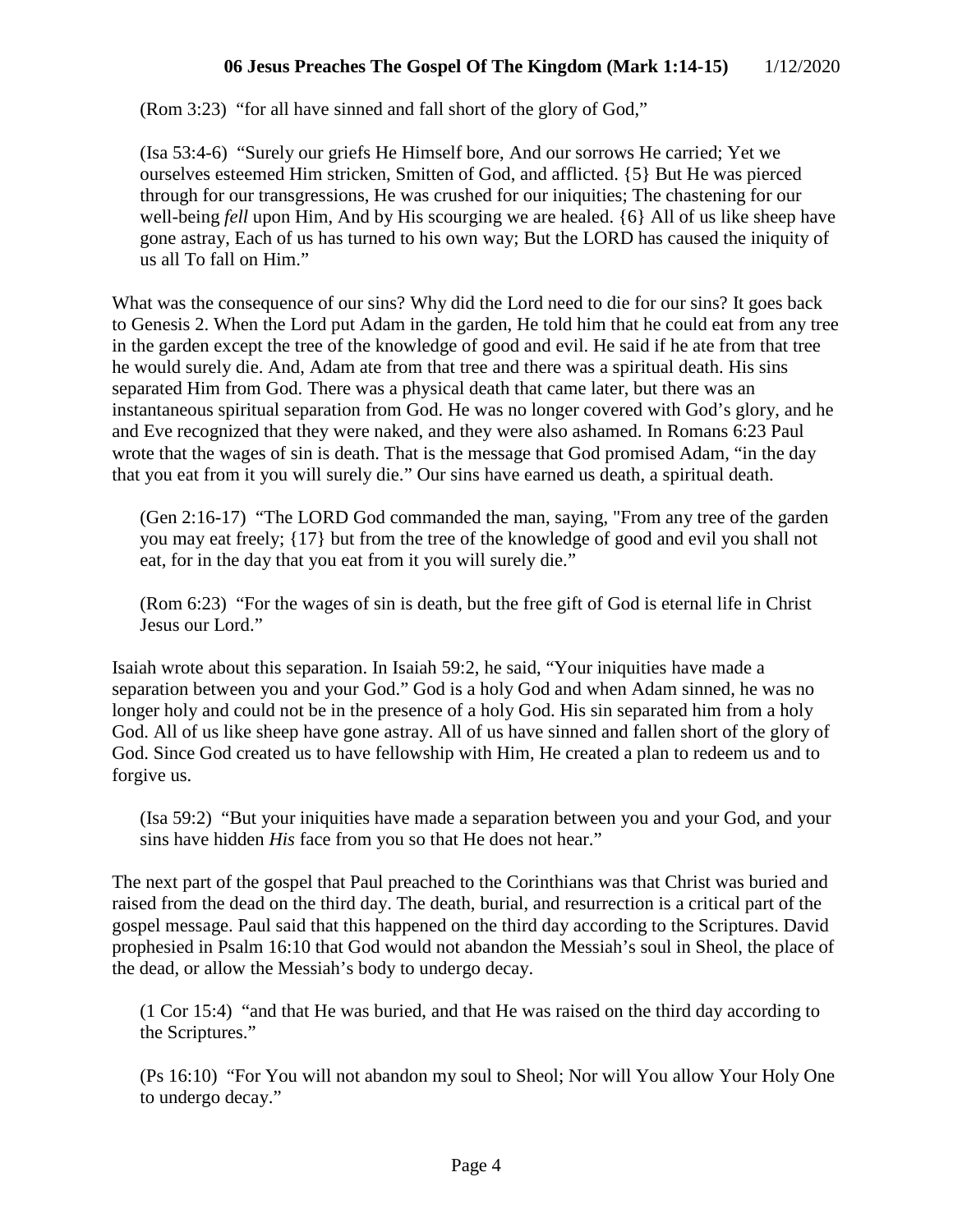(Rom 3:23) "for all have sinned and fall short of the glory of God,"

(Isa 53:4-6) "Surely our griefs He Himself bore, And our sorrows He carried; Yet we ourselves esteemed Him stricken, Smitten of God, and afflicted. {5} But He was pierced through for our transgressions, He was crushed for our iniquities; The chastening for our well-being *fell* upon Him, And by His scourging we are healed. {6} All of us like sheep have gone astray, Each of us has turned to his own way; But the LORD has caused the iniquity of us all To fall on Him."

What was the consequence of our sins? Why did the Lord need to die for our sins? It goes back to Genesis 2. When the Lord put Adam in the garden, He told him that he could eat from any tree in the garden except the tree of the knowledge of good and evil. He said if he ate from that tree he would surely die. And, Adam ate from that tree and there was a spiritual death. His sins separated Him from God. There was a physical death that came later, but there was an instantaneous spiritual separation from God. He was no longer covered with God's glory, and he and Eve recognized that they were naked, and they were also ashamed. In Romans 6:23 Paul wrote that the wages of sin is death. That is the message that God promised Adam, "in the day that you eat from it you will surely die." Our sins have earned us death, a spiritual death.

(Gen 2:16-17) "The LORD God commanded the man, saying, "From any tree of the garden you may eat freely; {17} but from the tree of the knowledge of good and evil you shall not eat, for in the day that you eat from it you will surely die."

(Rom 6:23) "For the wages of sin is death, but the free gift of God is eternal life in Christ Jesus our Lord."

Isaiah wrote about this separation. In Isaiah 59:2, he said, "Your iniquities have made a separation between you and your God." God is a holy God and when Adam sinned, he was no longer holy and could not be in the presence of a holy God. His sin separated him from a holy God. All of us like sheep have gone astray. All of us have sinned and fallen short of the glory of God. Since God created us to have fellowship with Him, He created a plan to redeem us and to forgive us.

(Isa 59:2) "But your iniquities have made a separation between you and your God, and your sins have hidden *His* face from you so that He does not hear."

The next part of the gospel that Paul preached to the Corinthians was that Christ was buried and raised from the dead on the third day. The death, burial, and resurrection is a critical part of the gospel message. Paul said that this happened on the third day according to the Scriptures. David prophesied in Psalm 16:10 that God would not abandon the Messiah's soul in Sheol, the place of the dead, or allow the Messiah's body to undergo decay.

(1 Cor 15:4) "and that He was buried, and that He was raised on the third day according to the Scriptures."

(Ps 16:10) "For You will not abandon my soul to Sheol; Nor will You allow Your Holy One to undergo decay."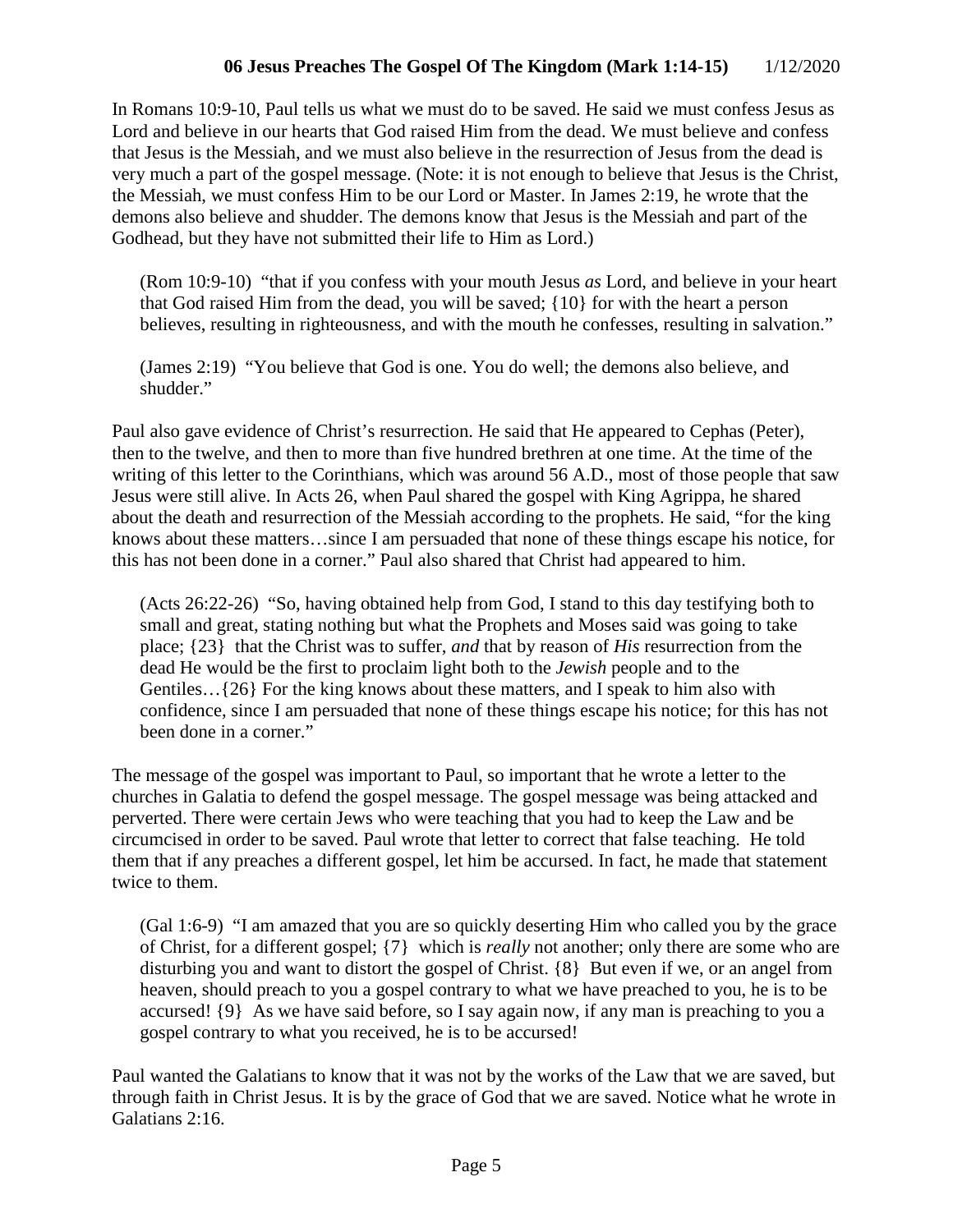In Romans 10:9-10, Paul tells us what we must do to be saved. He said we must confess Jesus as Lord and believe in our hearts that God raised Him from the dead. We must believe and confess that Jesus is the Messiah, and we must also believe in the resurrection of Jesus from the dead is very much a part of the gospel message. (Note: it is not enough to believe that Jesus is the Christ, the Messiah, we must confess Him to be our Lord or Master. In James 2:19, he wrote that the demons also believe and shudder. The demons know that Jesus is the Messiah and part of the Godhead, but they have not submitted their life to Him as Lord.)

(Rom 10:9-10) "that if you confess with your mouth Jesus *as* Lord, and believe in your heart that God raised Him from the dead, you will be saved; {10} for with the heart a person believes, resulting in righteousness, and with the mouth he confesses, resulting in salvation."

(James 2:19) "You believe that God is one. You do well; the demons also believe, and shudder."

Paul also gave evidence of Christ's resurrection. He said that He appeared to Cephas (Peter), then to the twelve, and then to more than five hundred brethren at one time. At the time of the writing of this letter to the Corinthians, which was around 56 A.D., most of those people that saw Jesus were still alive. In Acts 26, when Paul shared the gospel with King Agrippa, he shared about the death and resurrection of the Messiah according to the prophets. He said, "for the king knows about these matters…since I am persuaded that none of these things escape his notice, for this has not been done in a corner." Paul also shared that Christ had appeared to him.

(Acts 26:22-26) "So, having obtained help from God, I stand to this day testifying both to small and great, stating nothing but what the Prophets and Moses said was going to take place; {23} that the Christ was to suffer, *and* that by reason of *His* resurrection from the dead He would be the first to proclaim light both to the *Jewish* people and to the Gentiles…{26} For the king knows about these matters, and I speak to him also with confidence, since I am persuaded that none of these things escape his notice; for this has not been done in a corner."

The message of the gospel was important to Paul, so important that he wrote a letter to the churches in Galatia to defend the gospel message. The gospel message was being attacked and perverted. There were certain Jews who were teaching that you had to keep the Law and be circumcised in order to be saved. Paul wrote that letter to correct that false teaching. He told them that if any preaches a different gospel, let him be accursed. In fact, he made that statement twice to them.

(Gal 1:6-9) "I am amazed that you are so quickly deserting Him who called you by the grace of Christ, for a different gospel; {7} which is *really* not another; only there are some who are disturbing you and want to distort the gospel of Christ. {8} But even if we, or an angel from heaven, should preach to you a gospel contrary to what we have preached to you, he is to be accursed! {9} As we have said before, so I say again now, if any man is preaching to you a gospel contrary to what you received, he is to be accursed!

Paul wanted the Galatians to know that it was not by the works of the Law that we are saved, but through faith in Christ Jesus. It is by the grace of God that we are saved. Notice what he wrote in Galatians 2:16.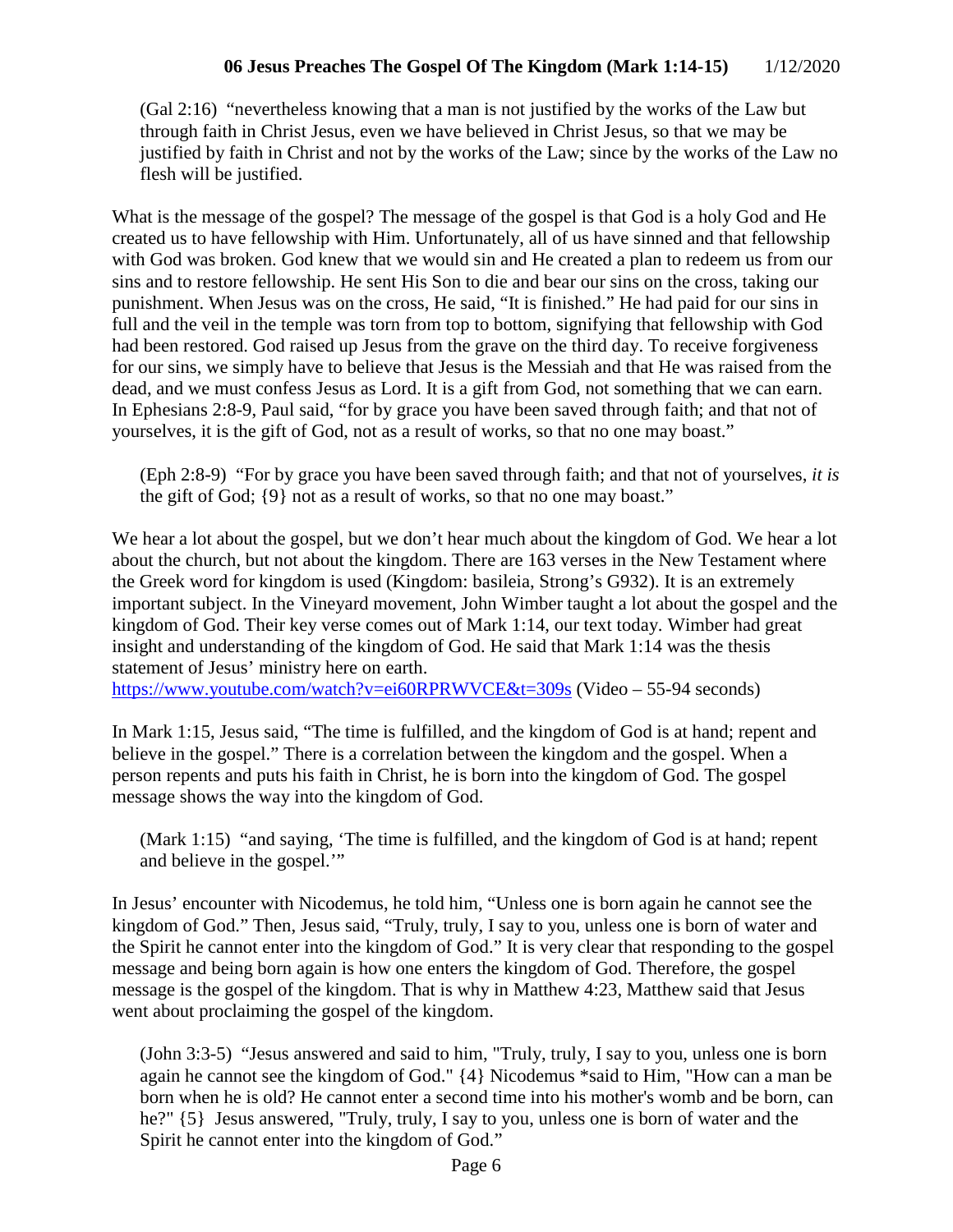(Gal 2:16) "nevertheless knowing that a man is not justified by the works of the Law but through faith in Christ Jesus, even we have believed in Christ Jesus, so that we may be justified by faith in Christ and not by the works of the Law; since by the works of the Law no flesh will be justified.

What is the message of the gospel? The message of the gospel is that God is a holy God and He created us to have fellowship with Him. Unfortunately, all of us have sinned and that fellowship with God was broken. God knew that we would sin and He created a plan to redeem us from our sins and to restore fellowship. He sent His Son to die and bear our sins on the cross, taking our punishment. When Jesus was on the cross, He said, "It is finished." He had paid for our sins in full and the veil in the temple was torn from top to bottom, signifying that fellowship with God had been restored. God raised up Jesus from the grave on the third day. To receive forgiveness for our sins, we simply have to believe that Jesus is the Messiah and that He was raised from the dead, and we must confess Jesus as Lord. It is a gift from God, not something that we can earn. In Ephesians 2:8-9, Paul said, "for by grace you have been saved through faith; and that not of yourselves, it is the gift of God, not as a result of works, so that no one may boast."

(Eph 2:8-9) "For by grace you have been saved through faith; and that not of yourselves, *it is* the gift of God; {9} not as a result of works, so that no one may boast."

We hear a lot about the gospel, but we don't hear much about the kingdom of God. We hear a lot about the church, but not about the kingdom. There are 163 verses in the New Testament where the Greek word for kingdom is used (Kingdom: basileia, Strong's G932). It is an extremely important subject. In the Vineyard movement, John Wimber taught a lot about the gospel and the kingdom of God. Their key verse comes out of Mark 1:14, our text today. Wimber had great insight and understanding of the kingdom of God. He said that Mark 1:14 was the thesis statement of Jesus' ministry here on earth.

<https://www.youtube.com/watch?v=ei60RPRWVCE&t=309s> (Video – 55-94 seconds)

In Mark 1:15, Jesus said, "The time is fulfilled, and the kingdom of God is at hand; repent and believe in the gospel." There is a correlation between the kingdom and the gospel. When a person repents and puts his faith in Christ, he is born into the kingdom of God. The gospel message shows the way into the kingdom of God.

(Mark 1:15) "and saying, 'The time is fulfilled, and the kingdom of God is at hand; repent and believe in the gospel.'"

In Jesus' encounter with Nicodemus, he told him, "Unless one is born again he cannot see the kingdom of God." Then, Jesus said, "Truly, truly, I say to you, unless one is born of water and the Spirit he cannot enter into the kingdom of God." It is very clear that responding to the gospel message and being born again is how one enters the kingdom of God. Therefore, the gospel message is the gospel of the kingdom. That is why in Matthew 4:23, Matthew said that Jesus went about proclaiming the gospel of the kingdom.

(John 3:3-5) "Jesus answered and said to him, "Truly, truly, I say to you, unless one is born again he cannot see the kingdom of God." {4} Nicodemus \*said to Him, "How can a man be born when he is old? He cannot enter a second time into his mother's womb and be born, can he?" {5} Jesus answered, "Truly, truly, I say to you, unless one is born of water and the Spirit he cannot enter into the kingdom of God."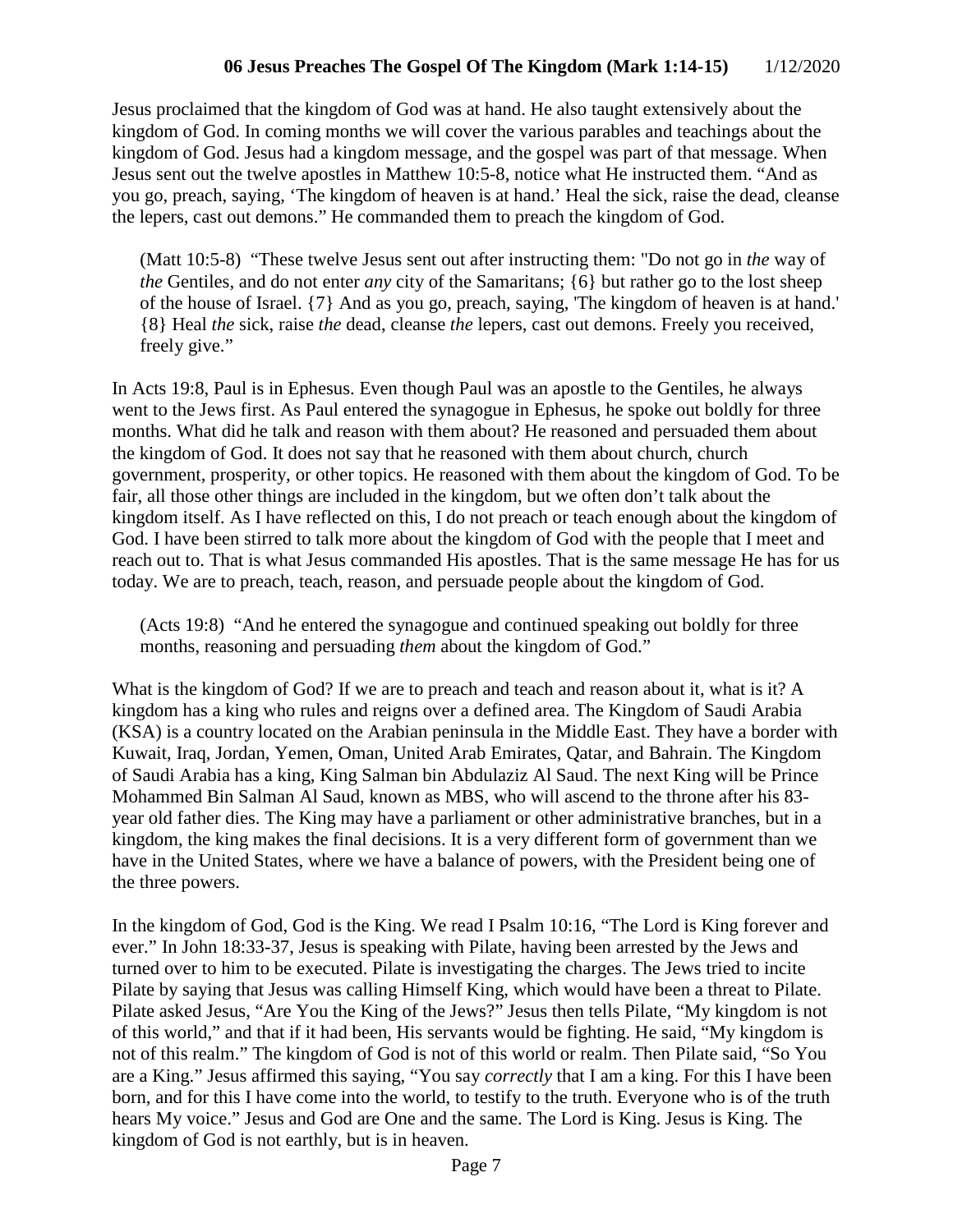Jesus proclaimed that the kingdom of God was at hand. He also taught extensively about the kingdom of God. In coming months we will cover the various parables and teachings about the kingdom of God. Jesus had a kingdom message, and the gospel was part of that message. When Jesus sent out the twelve apostles in Matthew 10:5-8, notice what He instructed them. "And as you go, preach, saying, 'The kingdom of heaven is at hand.' Heal the sick, raise the dead, cleanse the lepers, cast out demons." He commanded them to preach the kingdom of God.

(Matt 10:5-8) "These twelve Jesus sent out after instructing them: "Do not go in *the* way of *the* Gentiles, and do not enter *any* city of the Samaritans; {6} but rather go to the lost sheep of the house of Israel. {7} And as you go, preach, saying, 'The kingdom of heaven is at hand.' {8} Heal *the* sick, raise *the* dead, cleanse *the* lepers, cast out demons. Freely you received, freely give."

In Acts 19:8, Paul is in Ephesus. Even though Paul was an apostle to the Gentiles, he always went to the Jews first. As Paul entered the synagogue in Ephesus, he spoke out boldly for three months. What did he talk and reason with them about? He reasoned and persuaded them about the kingdom of God. It does not say that he reasoned with them about church, church government, prosperity, or other topics. He reasoned with them about the kingdom of God. To be fair, all those other things are included in the kingdom, but we often don't talk about the kingdom itself. As I have reflected on this, I do not preach or teach enough about the kingdom of God. I have been stirred to talk more about the kingdom of God with the people that I meet and reach out to. That is what Jesus commanded His apostles. That is the same message He has for us today. We are to preach, teach, reason, and persuade people about the kingdom of God.

(Acts 19:8) "And he entered the synagogue and continued speaking out boldly for three months, reasoning and persuading *them* about the kingdom of God."

What is the kingdom of God? If we are to preach and teach and reason about it, what is it? A kingdom has a king who rules and reigns over a defined area. The Kingdom of Saudi Arabia (KSA) is a country located on the Arabian peninsula in the Middle East. They have a border with Kuwait, Iraq, Jordan, Yemen, Oman, United Arab Emirates, Qatar, and Bahrain. The Kingdom of Saudi Arabia has a king, King Salman bin Abdulaziz Al Saud. The next King will be Prince Mohammed Bin Salman Al Saud, known as MBS, who will ascend to the throne after his 83 year old father dies. The King may have a parliament or other administrative branches, but in a kingdom, the king makes the final decisions. It is a very different form of government than we have in the United States, where we have a balance of powers, with the President being one of the three powers.

In the kingdom of God, God is the King. We read I Psalm 10:16, "The Lord is King forever and ever." In John 18:33-37, Jesus is speaking with Pilate, having been arrested by the Jews and turned over to him to be executed. Pilate is investigating the charges. The Jews tried to incite Pilate by saying that Jesus was calling Himself King, which would have been a threat to Pilate. Pilate asked Jesus, "Are You the King of the Jews?" Jesus then tells Pilate, "My kingdom is not of this world," and that if it had been, His servants would be fighting. He said, "My kingdom is not of this realm." The kingdom of God is not of this world or realm. Then Pilate said, "So You are a King." Jesus affirmed this saying, "You say *correctly* that I am a king. For this I have been born, and for this I have come into the world, to testify to the truth. Everyone who is of the truth hears My voice." Jesus and God are One and the same. The Lord is King. Jesus is King. The kingdom of God is not earthly, but is in heaven.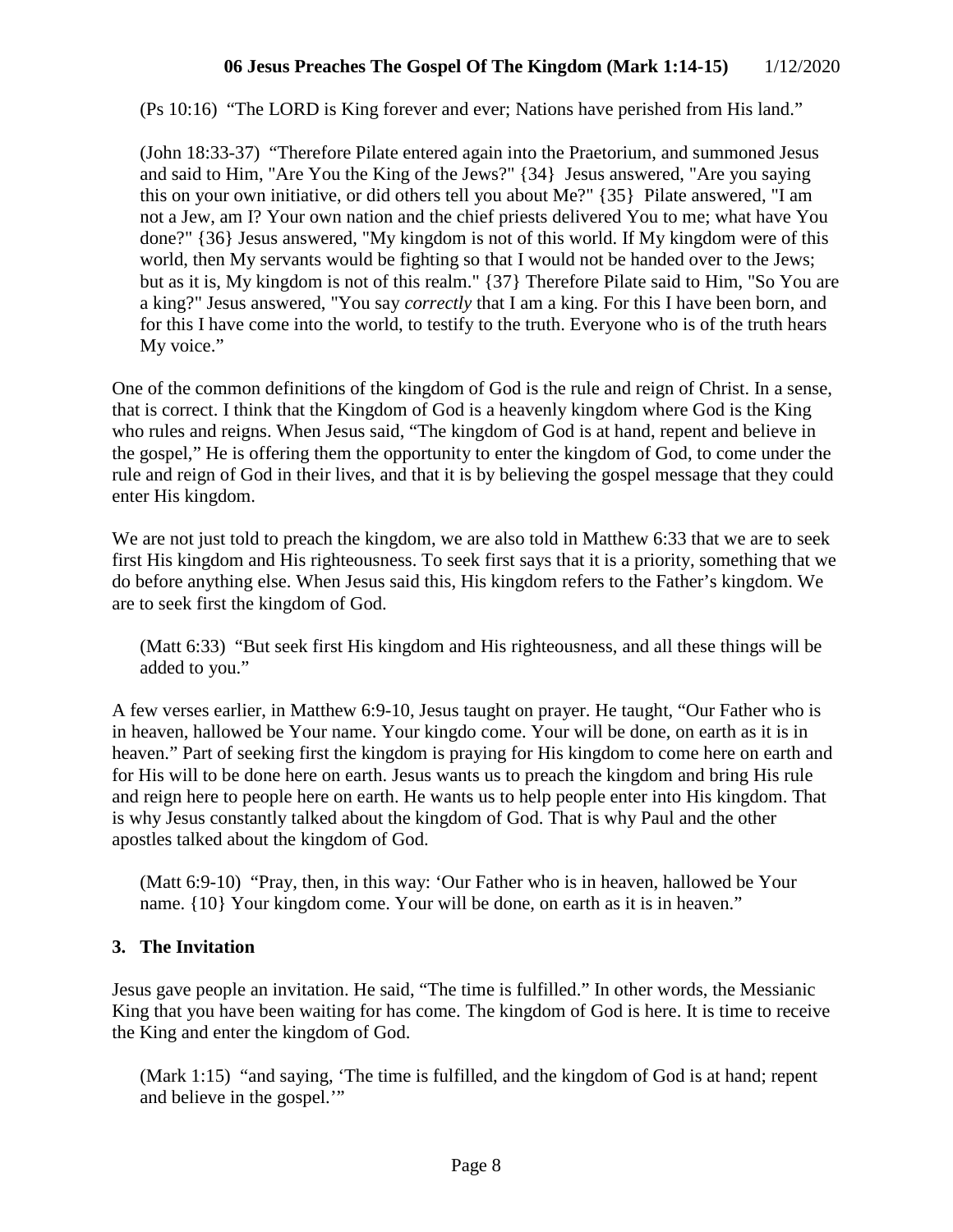(Ps 10:16) "The LORD is King forever and ever; Nations have perished from His land."

(John 18:33-37) "Therefore Pilate entered again into the Praetorium, and summoned Jesus and said to Him, "Are You the King of the Jews?" {34} Jesus answered, "Are you saying this on your own initiative, or did others tell you about Me?" {35} Pilate answered, "I am not a Jew, am I? Your own nation and the chief priests delivered You to me; what have You done?" {36} Jesus answered, "My kingdom is not of this world. If My kingdom were of this world, then My servants would be fighting so that I would not be handed over to the Jews; but as it is, My kingdom is not of this realm." {37} Therefore Pilate said to Him, "So You are a king?" Jesus answered, "You say *correctly* that I am a king. For this I have been born, and for this I have come into the world, to testify to the truth. Everyone who is of the truth hears My voice."

One of the common definitions of the kingdom of God is the rule and reign of Christ. In a sense, that is correct. I think that the Kingdom of God is a heavenly kingdom where God is the King who rules and reigns. When Jesus said, "The kingdom of God is at hand, repent and believe in the gospel," He is offering them the opportunity to enter the kingdom of God, to come under the rule and reign of God in their lives, and that it is by believing the gospel message that they could enter His kingdom.

We are not just told to preach the kingdom, we are also told in Matthew 6:33 that we are to seek first His kingdom and His righteousness. To seek first says that it is a priority, something that we do before anything else. When Jesus said this, His kingdom refers to the Father's kingdom. We are to seek first the kingdom of God.

(Matt 6:33) "But seek first His kingdom and His righteousness, and all these things will be added to you."

A few verses earlier, in Matthew 6:9-10, Jesus taught on prayer. He taught, "Our Father who is in heaven, hallowed be Your name. Your kingdo come. Your will be done, on earth as it is in heaven." Part of seeking first the kingdom is praying for His kingdom to come here on earth and for His will to be done here on earth. Jesus wants us to preach the kingdom and bring His rule and reign here to people here on earth. He wants us to help people enter into His kingdom. That is why Jesus constantly talked about the kingdom of God. That is why Paul and the other apostles talked about the kingdom of God.

(Matt 6:9-10) "Pray, then, in this way: 'Our Father who is in heaven, hallowed be Your name. {10} Your kingdom come. Your will be done, on earth as it is in heaven."

## **3. The Invitation**

Jesus gave people an invitation. He said, "The time is fulfilled." In other words, the Messianic King that you have been waiting for has come. The kingdom of God is here. It is time to receive the King and enter the kingdom of God.

(Mark 1:15) "and saying, 'The time is fulfilled, and the kingdom of God is at hand; repent and believe in the gospel."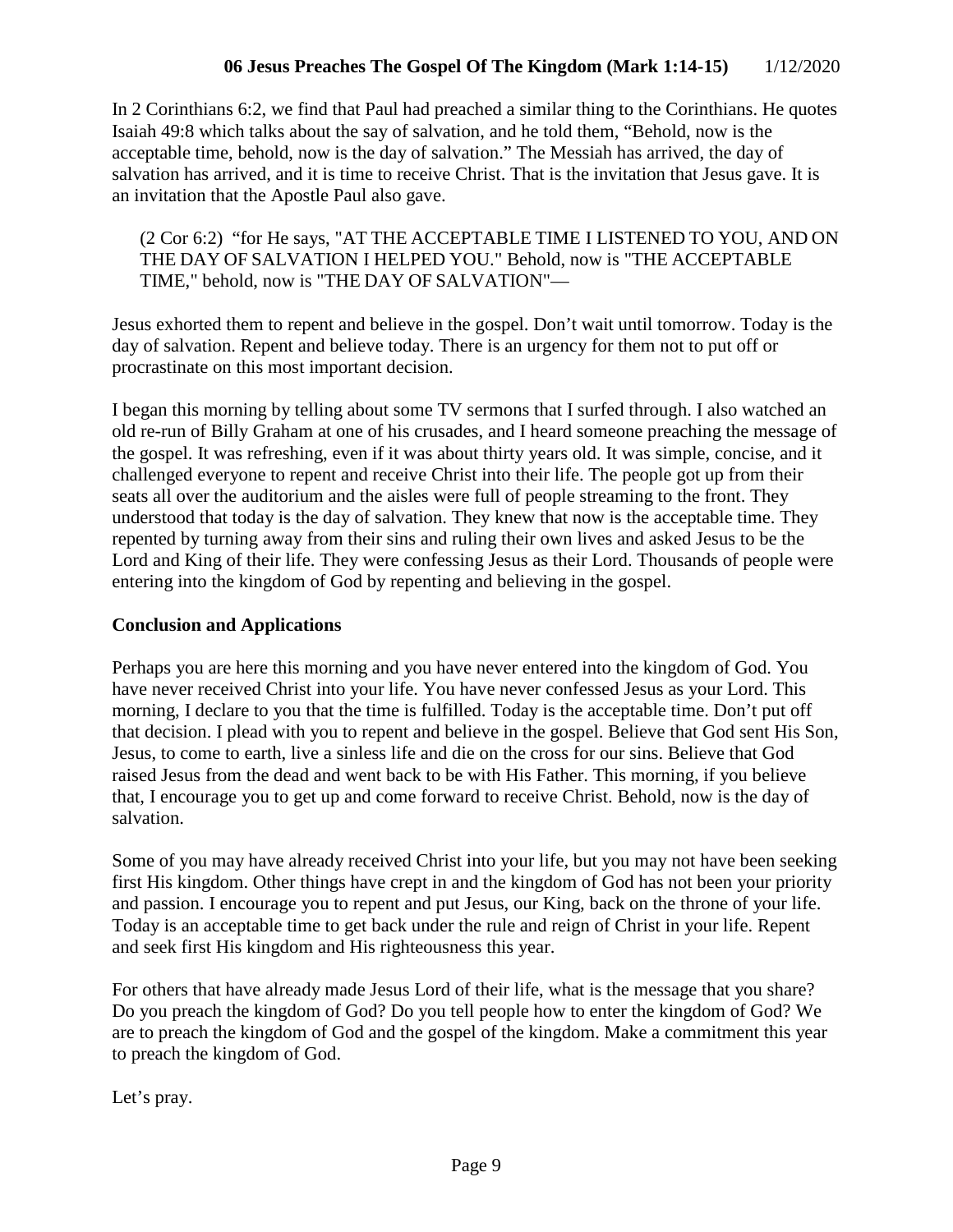In 2 Corinthians 6:2, we find that Paul had preached a similar thing to the Corinthians. He quotes Isaiah 49:8 which talks about the say of salvation, and he told them, "Behold, now is the acceptable time, behold, now is the day of salvation." The Messiah has arrived, the day of salvation has arrived, and it is time to receive Christ. That is the invitation that Jesus gave. It is an invitation that the Apostle Paul also gave.

(2 Cor 6:2) "for He says, "AT THE ACCEPTABLE TIME I LISTENED TO YOU, AND ON THE DAY OF SALVATION I HELPED YOU." Behold, now is "THE ACCEPTABLE TIME," behold, now is "THE DAY OF SALVATION"—

Jesus exhorted them to repent and believe in the gospel. Don't wait until tomorrow. Today is the day of salvation. Repent and believe today. There is an urgency for them not to put off or procrastinate on this most important decision.

I began this morning by telling about some TV sermons that I surfed through. I also watched an old re-run of Billy Graham at one of his crusades, and I heard someone preaching the message of the gospel. It was refreshing, even if it was about thirty years old. It was simple, concise, and it challenged everyone to repent and receive Christ into their life. The people got up from their seats all over the auditorium and the aisles were full of people streaming to the front. They understood that today is the day of salvation. They knew that now is the acceptable time. They repented by turning away from their sins and ruling their own lives and asked Jesus to be the Lord and King of their life. They were confessing Jesus as their Lord. Thousands of people were entering into the kingdom of God by repenting and believing in the gospel.

## **Conclusion and Applications**

Perhaps you are here this morning and you have never entered into the kingdom of God. You have never received Christ into your life. You have never confessed Jesus as your Lord. This morning, I declare to you that the time is fulfilled. Today is the acceptable time. Don't put off that decision. I plead with you to repent and believe in the gospel. Believe that God sent His Son, Jesus, to come to earth, live a sinless life and die on the cross for our sins. Believe that God raised Jesus from the dead and went back to be with His Father. This morning, if you believe that, I encourage you to get up and come forward to receive Christ. Behold, now is the day of salvation.

Some of you may have already received Christ into your life, but you may not have been seeking first His kingdom. Other things have crept in and the kingdom of God has not been your priority and passion. I encourage you to repent and put Jesus, our King, back on the throne of your life. Today is an acceptable time to get back under the rule and reign of Christ in your life. Repent and seek first His kingdom and His righteousness this year.

For others that have already made Jesus Lord of their life, what is the message that you share? Do you preach the kingdom of God? Do you tell people how to enter the kingdom of God? We are to preach the kingdom of God and the gospel of the kingdom. Make a commitment this year to preach the kingdom of God.

Let's pray.